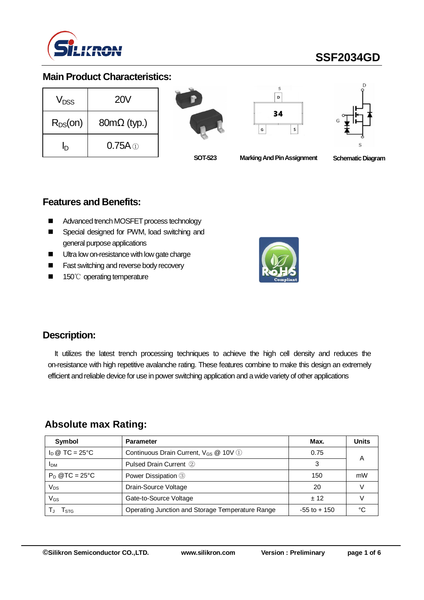

# **SSF2034GD**

#### **Main Product Characteristics:**

| V <sub>DSS</sub> | <b>20V</b>         |  |  |
|------------------|--------------------|--|--|
| $R_{DS}(on)$     | $80m\Omega$ (typ.) |  |  |
|                  | $0.75A \odot$      |  |  |







**SOT-523 Marking And Pin Assignment** 

**Schematic Diagram** 

#### **Features and Benefits:**

- Advanced trench MOSFET process technology
- Special designed for PWM, load switching and general purpose applications
- Ultra low on-resistance with low gate charge
- Fast switching and reverse body recovery
- 150℃ operating temperature



#### **Description:**

It utilizes the latest trench processing techniques to achieve the high cell density and reduces the on-resistance with high repetitive avalanche rating. These features combine to make this design an extremely efficient and reliable device for use in power switching application and a wide variety of other applications

#### **Absolute max Rating:**

| Symbol                         | <b>Parameter</b>                                  | Max.            | <b>Units</b> |
|--------------------------------|---------------------------------------------------|-----------------|--------------|
| $I_D \otimes TC = 25^{\circ}C$ | Continuous Drain Current, V <sub>GS</sub> @ 10V 1 | 0.75            | А            |
| <b>IDM</b>                     | Pulsed Drain Current 2                            | 3               |              |
| $P_D$ @TC = 25°C               | Power Dissipation 3                               | 150             | mW           |
| Vps                            | Drain-Source Voltage                              | 20              |              |
| VGs                            | Gate-to-Source Voltage                            | ± 12            |              |
| I STG                          | Operating Junction and Storage Temperature Range  | $-55$ to $+150$ |              |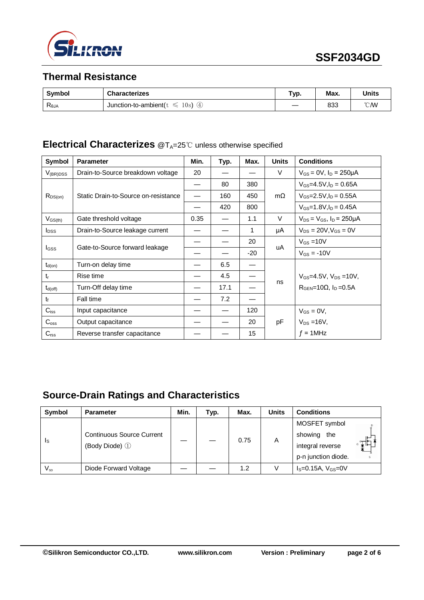

### **Thermal Resistance**

| Symbol         | <b>Characterizes</b>                                    | Typ. | Max. | <b>Units</b>   |
|----------------|---------------------------------------------------------|------|------|----------------|
| $R_{\theta$ JA | 10s)<br>Junction-to-ambient( $t$<br>$\mathfrak{B}$<br>∽ |      | 833  | $^{\circ}$ CMV |

## **Electrical Characterizes** @T<sub>A</sub>=25℃ unless otherwise specified

| Symbol           | <b>Parameter</b>                     | Min. | Typ. | Max.  | <b>Units</b> | <b>Conditions</b>                                    |
|------------------|--------------------------------------|------|------|-------|--------------|------------------------------------------------------|
| $V_{(BR)DSS}$    | Drain-to-Source breakdown voltage    | 20   |      |       | V            | $V_{GS} = 0V$ , $I_D = 250 \mu A$                    |
|                  | Static Drain-to-Source on-resistance |      | 80   | 380   | $m\Omega$    | $V_{GS} = 4.5V I_D = 0.65A$                          |
| $R_{DS(on)}$     |                                      |      | 160  | 450   |              | $V_{GS} = 2.5 V, I_D = 0.55 A$                       |
|                  |                                      |      | 420  | 800   |              | $V_{GS} = 1.8 V, I_D = 0.45 A$                       |
| $V_{GS(th)}$     | Gate threshold voltage               | 0.35 |      | 1.1   | V            | $V_{DS} = V_{GS}$ , $I_D = 250 \mu A$                |
| $I_{DSS}$        | Drain-to-Source leakage current      |      |      | 1     | μA           | $V_{DS} = 20V$ , $V_{GS} = 0V$                       |
|                  | Gate-to-Source forward leakage       |      |      | 20    | uA           | $V_{GS} = 10V$                                       |
| I <sub>GSS</sub> |                                      |      |      | $-20$ |              | $V_{GS} = -10V$                                      |
| $t_{d(on)}$      | Turn-on delay time                   |      | 6.5  |       |              |                                                      |
| $t_{r}$          | Rise time                            |      | 4.5  |       |              | $V_{GS} = 4.5V$ , $V_{DS} = 10V$ ,                   |
| $t_{d(off)}$     | Turn-Off delay time                  |      | 17.1 |       | ns           | $R_{\text{GFN}}$ =10 $\Omega$ , $I_{\text{D}}$ =0.5A |
| $t_{\rm f}$      | Fall time                            |      | 7.2  |       |              |                                                      |
| $C_{iss}$        | Input capacitance                    |      |      | 120   |              | $V_{GS} = 0V$ ,                                      |
| $C_{\rm oss}$    | Output capacitance                   |      |      | 20    | pF           | $V_{DS} = 16V$ ,                                     |
| $C_{\text{rss}}$ | Reverse transfer capacitance         |      |      | 15    |              | $f = 1$ MHz                                          |

## **Source-Drain Ratings and Characteristics**

| Symbol                     | <b>Parameter</b>                                   | Min. | Typ. | Max. | <b>Units</b> | <b>Conditions</b>       |
|----------------------------|----------------------------------------------------|------|------|------|--------------|-------------------------|
| Is                         | <b>Continuous Source Current</b><br>(Body Diode) 1 |      |      | 0.75 | A            | MOSFET symbol           |
|                            |                                                    |      |      |      |              | showing<br>the          |
|                            |                                                    |      |      |      |              | נ¦ד<br>integral reverse |
|                            |                                                    |      |      |      |              | p-n junction diode.     |
| $\mathsf{V}_{\mathsf{sp}}$ | Diode Forward Voltage                              |      |      | 1.2  |              | $IS=0.15A, VGS=0V$      |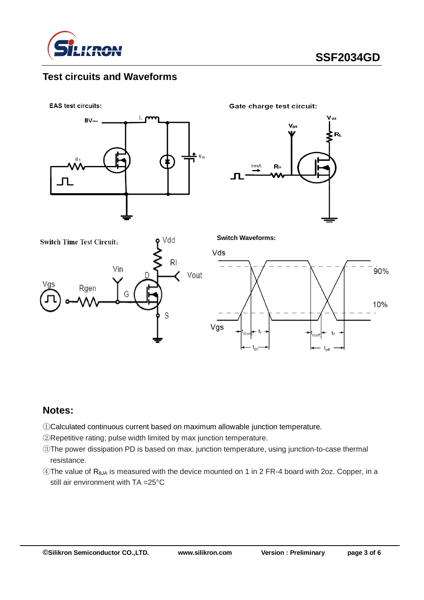

#### **Test circuits and Waveforms**

**EAS test circuits:** 



**Gate charge test circuit:** 

**Switch Waveforms:**







#### **Notes:**

①Calculated continuous current based on maximum allowable junction temperature.

②Repetitive rating; pulse width limited by max junction temperature.

- ③The power dissipation PD is based on max. junction temperature, using junction-to-case thermal resistance.
- ④The value of RθJA is measured with the device mounted on 1 in 2 FR-4 board with 2oz. Copper, in a still air environment with TA =25°C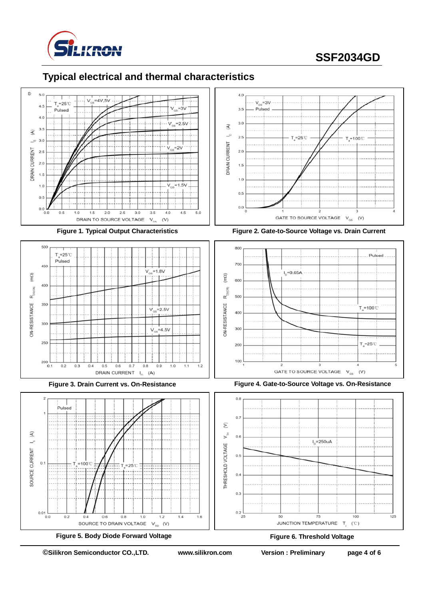

# **SSF2034GD**

### **Typical electrical and thermal characteristics**













**Figure 3. Drain Current vs. On-Resistance Figure 4. Gate-to-Source Voltage vs. On-Resistance**

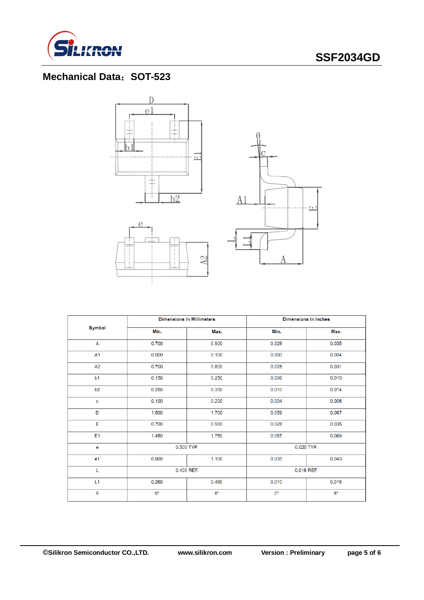

## **SSF2034GD**

## **Mechanical Data**:**SOT-523**







|                |             | <b>Dimensions In Millimeters</b> | <b>Dimensions In Inches</b> |             |  |
|----------------|-------------|----------------------------------|-----------------------------|-------------|--|
| <b>Symbol</b>  | Min.        | Max.                             | Min.                        | Max.        |  |
| A              | 0.700       | 0.900                            | 0.028                       | 0.035       |  |
| A1             | 0.000       | 0.100                            | 0.000                       | 0.004       |  |
| A2             | 0.700       | 0.800                            | 0.028                       | 0.031       |  |
| b <sub>1</sub> | 0.150       | 0.250                            | 0.006                       | 0.010       |  |
| b2             | 0.250       | 0.350                            | 0.010                       | 0.014       |  |
| C              | 0.100       | 0.200                            | 0.004                       | 0.008       |  |
| D              | 1.500       | 1.700                            | 0.059                       | 0.067       |  |
| Е              | 0.700       | 0.900                            | 0.028                       | 0.035       |  |
| E1             | 1.450       | 1.750                            | 0.057                       | 0.069       |  |
| $\mathbf e$    |             | 0.500 TYP.                       | 0.020 TYP.                  |             |  |
| e <sub>1</sub> | 0.900       | 1.100                            | 0.035                       | 0.043       |  |
| L              |             | 0.400 REF.                       | 0.016 REF.                  |             |  |
| L1             | 0.260       | 0.460                            | 0.010                       | 0.018       |  |
| $\theta$       | $0^{\circ}$ | $8^{\circ}$                      | $0^{\circ}$                 | $8^{\circ}$ |  |